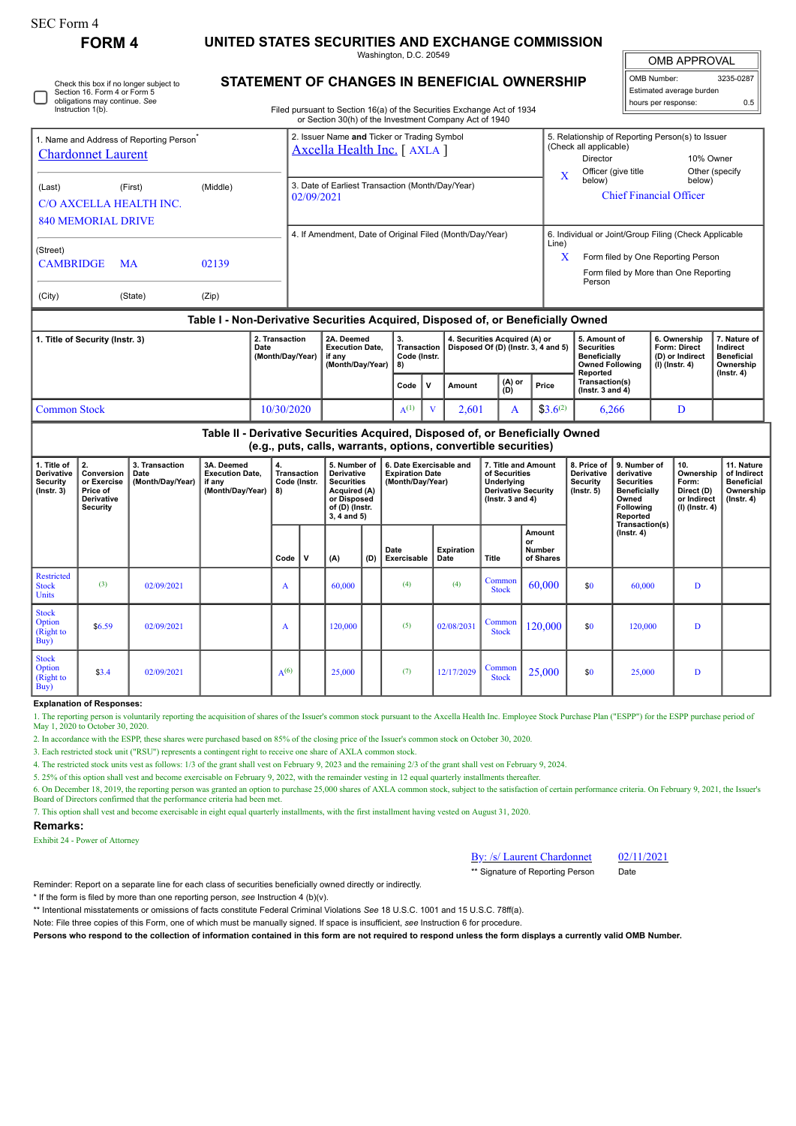| SEC Form 4 |  |
|------------|--|
|------------|--|

# **FORM 4 UNITED STATES SECURITIES AND EXCHANGE COMMISSION**

Washington, D.C. 20549

OMB APPROVAL OMB Number: 3235-0287 Estimated average burden hours per response: 0.5

Check this box if no longer subject to Section 16. Form 4 or Form 5 obligations may continue. *See* Instruction 1(b).

## **STATEMENT OF CHANGES IN BENEFICIAL OWNERSHIP**

Filed pursuant to Section 16(a) of the Securities Exchange Act of 1934

|                                                                                   |                                                                              |                                            |                                                                                  |                                    |                                                                            |                                                                                                                                                              | or Section 30(h) of the Investment Company Act of 1940         |                                                                       |              |                                                                                                          |  |                                                                      |                                                           |                                                                                                          |                                                       |                                                                                    |                                                                                 |        |                                                                     |                                                            |
|-----------------------------------------------------------------------------------|------------------------------------------------------------------------------|--------------------------------------------|----------------------------------------------------------------------------------|------------------------------------|----------------------------------------------------------------------------|--------------------------------------------------------------------------------------------------------------------------------------------------------------|----------------------------------------------------------------|-----------------------------------------------------------------------|--------------|----------------------------------------------------------------------------------------------------------|--|----------------------------------------------------------------------|-----------------------------------------------------------|----------------------------------------------------------------------------------------------------------|-------------------------------------------------------|------------------------------------------------------------------------------------|---------------------------------------------------------------------------------|--------|---------------------------------------------------------------------|------------------------------------------------------------|
| 1. Name and Address of Reporting Person <sup>7</sup><br><b>Chardonnet Laurent</b> |                                                                              |                                            |                                                                                  |                                    | 2. Issuer Name and Ticker or Trading Symbol<br>Axcella Health Inc. [AXLA ] |                                                                                                                                                              |                                                                |                                                                       |              |                                                                                                          |  |                                                                      |                                                           | 5. Relationship of Reporting Person(s) to Issuer<br>(Check all applicable)<br>Director<br>10% Owner      |                                                       |                                                                                    |                                                                                 |        |                                                                     |                                                            |
|                                                                                   |                                                                              |                                            |                                                                                  |                                    |                                                                            |                                                                                                                                                              |                                                                |                                                                       |              |                                                                                                          |  |                                                                      |                                                           |                                                                                                          |                                                       |                                                                                    | Officer (give title                                                             |        | Other (specify                                                      |                                                            |
| (Last)                                                                            | (First)<br>(Middle)                                                          |                                            |                                                                                  |                                    |                                                                            | 3. Date of Earliest Transaction (Month/Day/Year)<br>02/09/2021                                                                                               |                                                                |                                                                       |              |                                                                                                          |  |                                                                      |                                                           | $\mathbf X$                                                                                              | below)                                                |                                                                                    |                                                                                 | below) |                                                                     |                                                            |
| C/O AXCELLA HEALTH INC.                                                           |                                                                              |                                            |                                                                                  |                                    |                                                                            |                                                                                                                                                              |                                                                |                                                                       |              |                                                                                                          |  |                                                                      |                                                           |                                                                                                          | <b>Chief Financial Officer</b>                        |                                                                                    |                                                                                 |        |                                                                     |                                                            |
|                                                                                   | <b>840 MEMORIAL DRIVE</b>                                                    |                                            |                                                                                  |                                    |                                                                            |                                                                                                                                                              |                                                                |                                                                       |              |                                                                                                          |  |                                                                      |                                                           |                                                                                                          |                                                       |                                                                                    |                                                                                 |        |                                                                     |                                                            |
|                                                                                   |                                                                              |                                            |                                                                                  |                                    |                                                                            | 4. If Amendment, Date of Original Filed (Month/Day/Year)                                                                                                     |                                                                |                                                                       |              |                                                                                                          |  |                                                                      |                                                           |                                                                                                          | 6. Individual or Joint/Group Filing (Check Applicable |                                                                                    |                                                                                 |        |                                                                     |                                                            |
| (Street)                                                                          |                                                                              |                                            |                                                                                  |                                    |                                                                            |                                                                                                                                                              |                                                                |                                                                       |              |                                                                                                          |  |                                                                      |                                                           |                                                                                                          | Line)                                                 |                                                                                    |                                                                                 |        |                                                                     |                                                            |
| <b>CAMBRIDGE</b><br>02139<br>MA                                                   |                                                                              |                                            |                                                                                  |                                    |                                                                            |                                                                                                                                                              |                                                                |                                                                       |              |                                                                                                          |  |                                                                      |                                                           | X<br>Form filed by One Reporting Person<br>Form filed by More than One Reporting                         |                                                       |                                                                                    |                                                                                 |        |                                                                     |                                                            |
|                                                                                   |                                                                              |                                            |                                                                                  |                                    |                                                                            |                                                                                                                                                              |                                                                |                                                                       |              |                                                                                                          |  |                                                                      |                                                           |                                                                                                          |                                                       | Person                                                                             |                                                                                 |        |                                                                     |                                                            |
| (City)                                                                            |                                                                              | (State)                                    | (Zip)                                                                            |                                    |                                                                            |                                                                                                                                                              |                                                                |                                                                       |              |                                                                                                          |  |                                                                      |                                                           |                                                                                                          |                                                       |                                                                                    |                                                                                 |        |                                                                     |                                                            |
|                                                                                   |                                                                              |                                            | Table I - Non-Derivative Securities Acquired, Disposed of, or Beneficially Owned |                                    |                                                                            |                                                                                                                                                              |                                                                |                                                                       |              |                                                                                                          |  |                                                                      |                                                           |                                                                                                          |                                                       |                                                                                    |                                                                                 |        |                                                                     |                                                            |
| 1. Title of Security (Instr. 3)<br>Date                                           |                                                                              |                                            |                                                                                  | 2. Transaction<br>(Month/Day/Year) |                                                                            |                                                                                                                                                              | if any                                                         | 2A. Deemed<br><b>Execution Date,</b><br>(Month/Day/Year)              |              | 3.<br><b>Transaction</b><br>Code (Instr.<br>8)                                                           |  | 4. Securities Acquired (A) or<br>Disposed Of (D) (Instr. 3, 4 and 5) |                                                           |                                                                                                          |                                                       | 5. Amount of<br><b>Securities</b><br><b>Beneficially</b><br><b>Owned Following</b> |                                                                                 |        | 6. Ownership<br>Form: Direct<br>(D) or Indirect<br>$(I)$ (lnstr. 4) | 7. Nature of<br>Indirect<br><b>Beneficial</b><br>Ownership |
|                                                                                   |                                                                              |                                            |                                                                                  |                                    |                                                                            |                                                                                                                                                              |                                                                | Code                                                                  | $\mathbf{v}$ | (A) or<br>Amount<br>(D)                                                                                  |  | Price                                                                | Reported                                                  | Transaction(s)<br>$($ lnstr. 3 and 4 $)$                                                                 |                                                       |                                                                                    | $($ Instr. 4 $)$                                                                |        |                                                                     |                                                            |
| <b>Common Stock</b>                                                               |                                                                              |                                            |                                                                                  |                                    |                                                                            | 10/30/2020                                                                                                                                                   |                                                                |                                                                       | $A^{(1)}$    | $\mathbf{V}$                                                                                             |  | 2,601<br>A                                                           |                                                           | $$3.6^{(2)}$                                                                                             |                                                       | 6,266                                                                              |                                                                                 | D      |                                                                     |                                                            |
|                                                                                   |                                                                              |                                            | Table II - Derivative Securities Acquired, Disposed of, or Beneficially Owned    |                                    |                                                                            |                                                                                                                                                              |                                                                |                                                                       |              |                                                                                                          |  |                                                                      |                                                           |                                                                                                          |                                                       |                                                                                    |                                                                                 |        |                                                                     |                                                            |
|                                                                                   |                                                                              |                                            |                                                                                  |                                    |                                                                            |                                                                                                                                                              | (e.g., puts, calls, warrants, options, convertible securities) |                                                                       |              |                                                                                                          |  |                                                                      |                                                           |                                                                                                          |                                                       |                                                                                    |                                                                                 |        |                                                                     |                                                            |
| 1. Title of<br>Derivative<br>Security<br>$($ Instr. 3 $)$                         | 2.<br>Conversion<br>or Exercise<br>Price of<br><b>Derivative</b><br>Security | 3. Transaction<br>Date<br>(Month/Day/Year) | 3A. Deemed<br><b>Execution Date,</b><br>if any<br>(Month/Day/Year)               | 4.<br>8)                           |                                                                            | 5. Number of<br><b>Transaction</b><br><b>Derivative</b><br>Code (Instr.<br><b>Securities</b><br>Acquired (A)<br>or Disposed<br>of (D) (Instr.<br>3, 4 and 5) |                                                                | 6. Date Exercisable and<br><b>Expiration Date</b><br>(Month/Day/Year) |              | 7. Title and Amount<br>of Securities<br>Underlying<br><b>Derivative Security</b><br>( $lnstr. 3 and 4$ ) |  |                                                                      | 8. Price of<br>Derivative<br>Security<br>$($ Instr. 5 $)$ | 9. Number of<br>derivative<br><b>Securities</b><br><b>Beneficially</b><br>Owned<br>Following<br>Reported |                                                       | 10.<br>Ownership<br>Form:<br>Direct (D)<br>or Indirect<br>$(I)$ (Instr. 4)         | 11. Nature<br>of Indirect<br><b>Beneficial</b><br>Ownership<br>$($ Instr. 4 $)$ |        |                                                                     |                                                            |
|                                                                                   |                                                                              |                                            |                                                                                  |                                    | Code                                                                       | $\mathbf v$                                                                                                                                                  | (A)                                                            | (D)                                                                   | Date         | Exercisable                                                                                              |  | Expiration<br>Date                                                   | Title                                                     |                                                                                                          | Amount<br>or<br><b>Number</b><br>of Shares            |                                                                                    | Transaction(s)<br>$($ Instr. 4 $)$                                              |        |                                                                     |                                                            |
| <b>Restricted</b><br><b>Stock</b><br>Units                                        | (3)                                                                          | 02/09/2021                                 |                                                                                  |                                    | A                                                                          |                                                                                                                                                              | 60,000                                                         |                                                                       |              | (4)                                                                                                      |  | (4)                                                                  | Common<br><b>Stock</b>                                    |                                                                                                          | 60,000                                                | \$0                                                                                | 60,000                                                                          |        | D                                                                   |                                                            |
| <b>Stock</b><br>Option<br>(Right to<br>Buy)                                       | \$6.59                                                                       | 02/09/2021                                 |                                                                                  |                                    | A                                                                          |                                                                                                                                                              | 120,000                                                        |                                                                       |              | (5)                                                                                                      |  | 02/08/2031                                                           | Common<br><b>Stock</b>                                    |                                                                                                          | 120.000                                               | \$0                                                                                | 120,000                                                                         |        | D                                                                   |                                                            |
| <b>Stock</b><br>Option<br>(Right to<br>Buy)                                       | \$3.4                                                                        | 02/09/2021                                 |                                                                                  |                                    | $A^{(6)}$                                                                  |                                                                                                                                                              | 25,000                                                         |                                                                       |              | (7)                                                                                                      |  | 12/17/2029                                                           | Common<br><b>Stock</b>                                    |                                                                                                          | 25,000                                                | \$0                                                                                | 25,000                                                                          |        | D                                                                   |                                                            |

#### **Explanation of Responses:**

1. The reporting person is voluntarily reporting the acquisition of shares of the Issuer's common stock pursuant to the Axcella Health Inc. Employee Stock Purchase Plan ("ESPP") for the ESPP purchase period of<br>May 1, 2020

2. In accordance with the ESPP, these shares were purchased based on 85% of the closing price of the Issuer's common stock on October 30, 2020.

3. Each restricted stock unit ("RSU") represents a contingent right to receive one share of AXLA common stock.

4. The restricted stock units vest as follows: 1/3 of the grant shall vest on February 9, 2023 and the remaining 2/3 of the grant shall vest on February 9, 2024.

5. 25% of this option shall vest and become exercisable on February 9, 2022, with the remainder vesting in 12 equal quarterly installments thereafter.

6. On December 18, 2019, the reporting person was granted an option to purchase 25,000 shares of AXLA common stock, subject to the satisfaction of certain performance criteria. On February 9, 2021, the Issuer's Board of Di

7. This option shall vest and become exercisable in eight equal quarterly installments, with the first installment having vested on August 31, 2020.

### **Remarks:**

Exhibit 24 - Power of Attorney

|  | By: /s/ Laurent Chardonn |  |
|--|--------------------------|--|

 $het$   $02/11/2021$ \*\* Signature of Reporting Person Date

Reminder: Report on a separate line for each class of securities beneficially owned directly or indirectly.

\* If the form is filed by more than one reporting person, *see* Instruction 4 (b)(v).

\*\* Intentional misstatements or omissions of facts constitute Federal Criminal Violations *See* 18 U.S.C. 1001 and 15 U.S.C. 78ff(a).

Note: File three copies of this Form, one of which must be manually signed. If space is insufficient, *see* Instruction 6 for procedure.

**Persons who respond to the collection of information contained in this form are not required to respond unless the form displays a currently valid OMB Number.**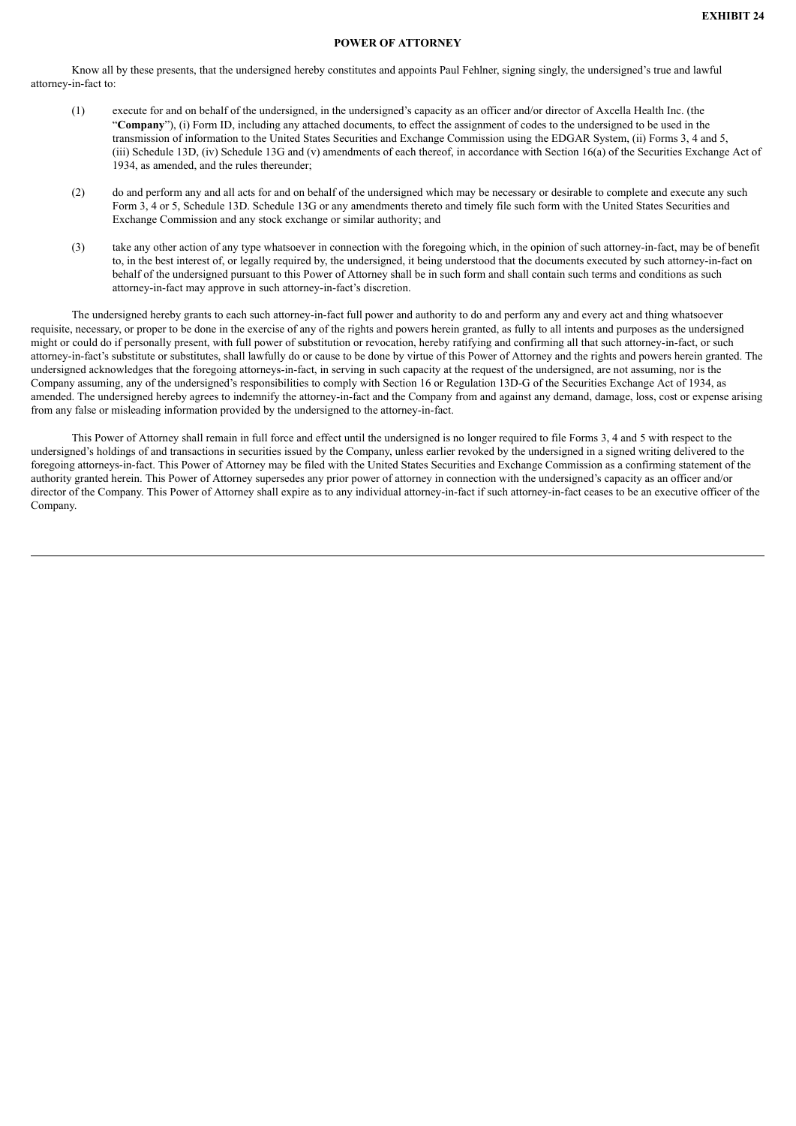### **POWER OF ATTORNEY**

Know all by these presents, that the undersigned hereby constitutes and appoints Paul Fehlner, signing singly, the undersigned's true and lawful attorney-in-fact to:

- (1) execute for and on behalf of the undersigned, in the undersigned's capacity as an officer and/or director of Axcella Health Inc. (the "**Company**"), (i) Form ID, including any attached documents, to effect the assignment of codes to the undersigned to be used in the transmission of information to the United States Securities and Exchange Commission using the EDGAR System, (ii) Forms 3, 4 and 5, (iii) Schedule 13D, (iv) Schedule 13G and (v) amendments of each thereof, in accordance with Section 16(a) of the Securities Exchange Act of 1934, as amended, and the rules thereunder;
- (2) do and perform any and all acts for and on behalf of the undersigned which may be necessary or desirable to complete and execute any such Form 3, 4 or 5, Schedule 13D. Schedule 13G or any amendments thereto and timely file such form with the United States Securities and Exchange Commission and any stock exchange or similar authority; and
- (3) take any other action of any type whatsoever in connection with the foregoing which, in the opinion of such attorney-in-fact, may be of benefit to, in the best interest of, or legally required by, the undersigned, it being understood that the documents executed by such attorney-in-fact on behalf of the undersigned pursuant to this Power of Attorney shall be in such form and shall contain such terms and conditions as such attorney-in-fact may approve in such attorney-in-fact's discretion.

The undersigned hereby grants to each such attorney-in-fact full power and authority to do and perform any and every act and thing whatsoever requisite, necessary, or proper to be done in the exercise of any of the rights and powers herein granted, as fully to all intents and purposes as the undersigned might or could do if personally present, with full power of substitution or revocation, hereby ratifying and confirming all that such attorney-in-fact, or such attorney-in-fact's substitute or substitutes, shall lawfully do or cause to be done by virtue of this Power of Attorney and the rights and powers herein granted. The undersigned acknowledges that the foregoing attorneys-in-fact, in serving in such capacity at the request of the undersigned, are not assuming, nor is the Company assuming, any of the undersigned's responsibilities to comply with Section 16 or Regulation 13D-G of the Securities Exchange Act of 1934, as amended. The undersigned hereby agrees to indemnify the attorney-in-fact and the Company from and against any demand, damage, loss, cost or expense arising from any false or misleading information provided by the undersigned to the attorney-in-fact.

This Power of Attorney shall remain in full force and effect until the undersigned is no longer required to file Forms 3, 4 and 5 with respect to the undersigned's holdings of and transactions in securities issued by the Company, unless earlier revoked by the undersigned in a signed writing delivered to the foregoing attorneys-in-fact. This Power of Attorney may be filed with the United States Securities and Exchange Commission as a confirming statement of the authority granted herein. This Power of Attorney supersedes any prior power of attorney in connection with the undersigned's capacity as an officer and/or director of the Company. This Power of Attorney shall expire as to any individual attorney-in-fact if such attorney-in-fact ceases to be an executive officer of the Company.